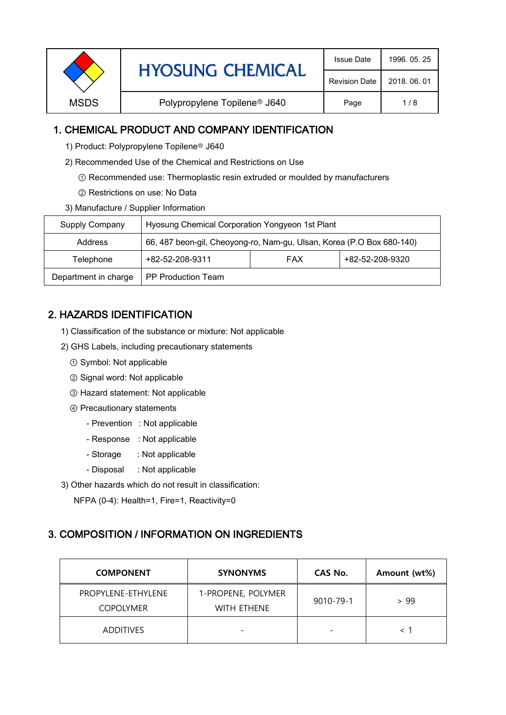|                                                         | <b>Issue Date</b>    | 1996, 05, 25 |
|---------------------------------------------------------|----------------------|--------------|
| <b>HYOSUNG CHEMICAL</b>                                 | <b>Revision Date</b> | 2018, 06, 01 |
| Polypropylene Topilene <sup>®</sup> J640<br><b>MSDS</b> | Page                 | 1/8          |

#### 1. CHEMICAL PRODUCT AND COMPANY IDENTIFICATION

- 1) Product: Polypropylene Topilene<sup>®</sup> J640
- 2) Recommended Use of the Chemical and Restrictions on Use
	- ① Recommended use: Thermoplastic resin extruded or moulded by manufacturers
	- ② Restrictions on use: No Data
- 3) Manufacture / Supplier Information

| Supply Company       | Hyosung Chemical Corporation Yongyeon 1st Plant                       |            |                 |  |
|----------------------|-----------------------------------------------------------------------|------------|-----------------|--|
| Address              | 66, 487 beon-gil, Cheoyong-ro, Nam-gu, Ulsan, Korea (P.O Box 680-140) |            |                 |  |
| Telephone            | +82-52-208-9311                                                       | <b>FAX</b> | +82-52-208-9320 |  |
| Department in charge | <b>PP Production Team</b>                                             |            |                 |  |

# 2. HAZARDS IDENTIFICATION

- 1) Classification of the substance or mixture: Not applicable
- 2) GHS Labels, including precautionary statements
	- ① Symbol: Not applicable
	- ② Signal word: Not applicable
	- ③ Hazard statement: Not applicable
	- ④ Precautionary statements
		- Prevention : Not applicable
		- Response : Not applicable
		- Storage : Not applicable
		- Disposal : Not applicable
- 3) Other hazards which do not result in classification:

NFPA (0-4): Health=1, Fire=1, Reactivity=0

# 3. COMPOSITION / INFORMATION ON INGREDIENTS

| <b>COMPONENT</b>                       | <b>SYNONYMS</b>                          | CAS No.                  | Amount (wt%) |
|----------------------------------------|------------------------------------------|--------------------------|--------------|
| PROPYLENE-ETHYLENE<br><b>COPOLYMER</b> | 1-PROPENE, POLYMER<br><b>WITH ETHENE</b> | $9010 - 79 - 1$          | > 99         |
| <b>ADDITIVES</b>                       | $\overline{\phantom{0}}$                 | $\overline{\phantom{0}}$ |              |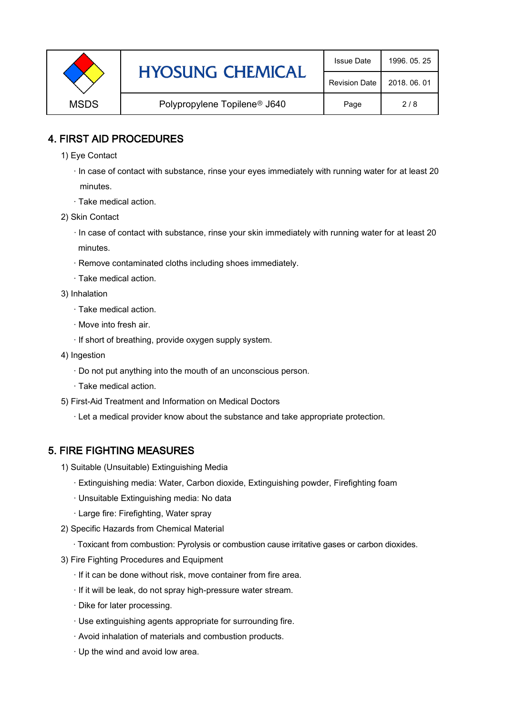|             | <b>HYOSUNG CHEMICAL</b>                  | <b>Issue Date</b> | 1996, 05, 25 |
|-------------|------------------------------------------|-------------------|--------------|
|             | <b>Revision Date</b>                     | 2018, 06, 01      |              |
| <b>MSDS</b> | Polypropylene Topilene <sup>®</sup> J640 | Page              | 2/8          |

#### 4. FIRST AID PROCEDURES

- 1) Eye Contact
	- · In case of contact with substance, rinse your eyes immediately with running water for at least 20 minutes.
	- · Take medical action.
- 2) Skin Contact
	- · In case of contact with substance, rinse your skin immediately with running water for at least 20 minutes.
	- · Remove contaminated cloths including shoes immediately.
	- · Take medical action.
- 3) Inhalation
	- · Take medical action.
	- · Move into fresh air.
	- · If short of breathing, provide oxygen supply system.
- 4) Ingestion
	- · Do not put anything into the mouth of an unconscious person.
	- · Take medical action.
- 5) First-Aid Treatment and Information on Medical Doctors
	- · Let a medical provider know about the substance and take appropriate protection.

# 5. FIRE FIGHTING MEASURES

- 1) Suitable (Unsuitable) Extinguishing Media
	- · Extinguishing media: Water, Carbon dioxide, Extinguishing powder, Firefighting foam
	- · Unsuitable Extinguishing media: No data
	- · Large fire: Firefighting, Water spray
- 2) Specific Hazards from Chemical Material
	- · Toxicant from combustion: Pyrolysis or combustion cause irritative gases or carbon dioxides.
- 3) Fire Fighting Procedures and Equipment
	- · If it can be done without risk, move container from fire area.
	- · If it will be leak, do not spray high-pressure water stream.
	- · Dike for later processing.
	- · Use extinguishing agents appropriate for surrounding fire.
	- · Avoid inhalation of materials and combustion products.
	- · Up the wind and avoid low area.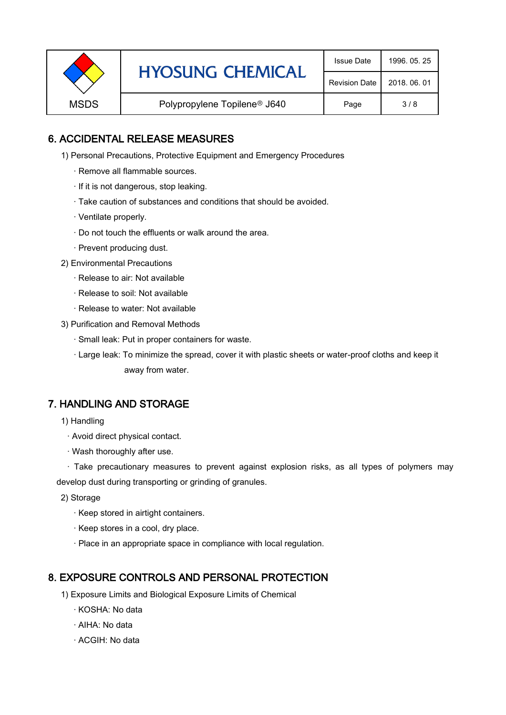|             | <b>HYOSUNG CHEMICAL</b>                  | <b>Issue Date</b> | 1996, 05, 25 |
|-------------|------------------------------------------|-------------------|--------------|
|             | <b>Revision Date</b>                     | 2018, 06, 01      |              |
| <b>MSDS</b> | Polypropylene Topilene <sup>®</sup> J640 | Page              | 3/8          |

#### 6. ACCIDENTAL RELEASE MEASURES

- 1) Personal Precautions, Protective Equipment and Emergency Procedures
	- · Remove all flammable sources.
	- · If it is not dangerous, stop leaking.
	- · Take caution of substances and conditions that should be avoided.
	- · Ventilate properly.
	- · Do not touch the effluents or walk around the area.
	- · Prevent producing dust.
- 2) Environmental Precautions
	- · Release to air: Not available
	- · Release to soil: Not available
	- · Release to water: Not available
- 3) Purification and Removal Methods
	- · Small leak: Put in proper containers for waste.
	- ,· Large leak: To minimize the spread, cover it with plastic sheets or water-proof cloths and keep it away from water.

#### 7. HANDLING AND STORAGE

- 1) Handling
	- · Avoid direct physical contact.
	- · Wash thoroughly after use.

· Take precautionary measures to prevent against explosion risks, as all types of polymers may develop dust during transporting or grinding of granules.

- 2) Storage
	- · Keep stored in airtight containers.
	- · Keep stores in a cool, dry place.
	- · Place in an appropriate space in compliance with local regulation.

#### 8. EXPOSURE CONTROLS AND PERSONAL PROTECTION

- 1) Exposure Limits and Biological Exposure Limits of Chemical
	- · KOSHA: No data
	- · AIHA: No data
	- · ACGIH: No data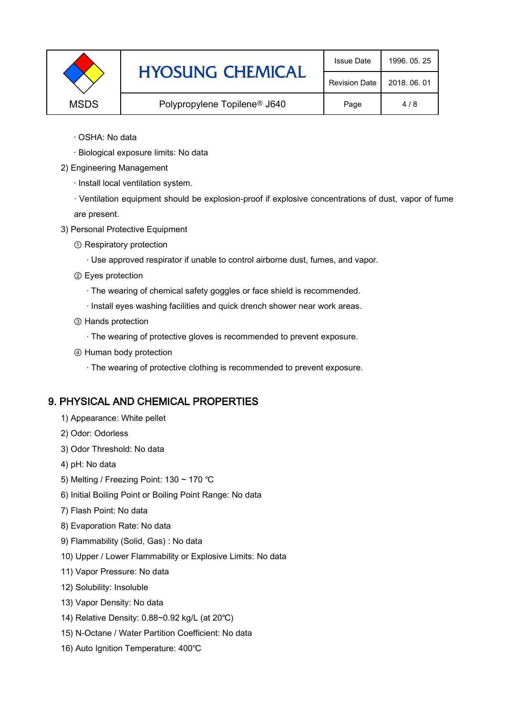|             | <b>HYOSUNG CHEMICAL</b>                  | <b>Issue Date</b>    | 1996, 05, 25 |
|-------------|------------------------------------------|----------------------|--------------|
|             |                                          | <b>Revision Date</b> | 2018, 06, 01 |
| <b>MSDS</b> | Polypropylene Topilene <sup>®</sup> J640 | Page                 | 4/8          |

- · OSHA: No data
- · Biological exposure limits: No data
- 2) Engineering Management
	- · Install local ventilation system.

· Ventilation equipment should be explosion-proof if explosive concentrations of dust, vapor of fume are present.

- 3) Personal Protective Equipment
	- ① Respiratory protection
		- · Use approved respirator if unable to control airborne dust, fumes, and vapor.
	- ② Eyes protection
		- · The wearing of chemical safety goggles or face shield is recommended.
		- · Install eyes washing facilities and quick drench shower near work areas.
	- ③ Hands protection
		- · The wearing of protective gloves is recommended to prevent exposure.
	- ④ Human body protection
		- · The wearing of protective clothing is recommended to prevent exposure.

# 9. PHYSICAL AND CHEMICAL PROPERTIES

- 1) Appearance: White pellet
- 2) Odor: Odorless
- 3) Odor Threshold: No data
- 4) pH: No data
- 5) Melting / Freezing Point: 130 ~ 170 ℃
- 6) Initial Boiling Point or Boiling Point Range: No data
- 7) Flash Point: No data
- 8) Evaporation Rate: No data
- 9) Flammability (Solid, Gas) : No data
- 10) Upper / Lower Flammability or Explosive Limits: No data
- 11) Vapor Pressure: No data
- 12) Solubility: Insoluble
- 13) Vapor Density: No data
- 14) Relative Density: 0.88~0.92 kg/L (at 20℃)
- 15) N-Octane / Water Partition Coefficient: No data
- 16) Auto Ignition Temperature: 400℃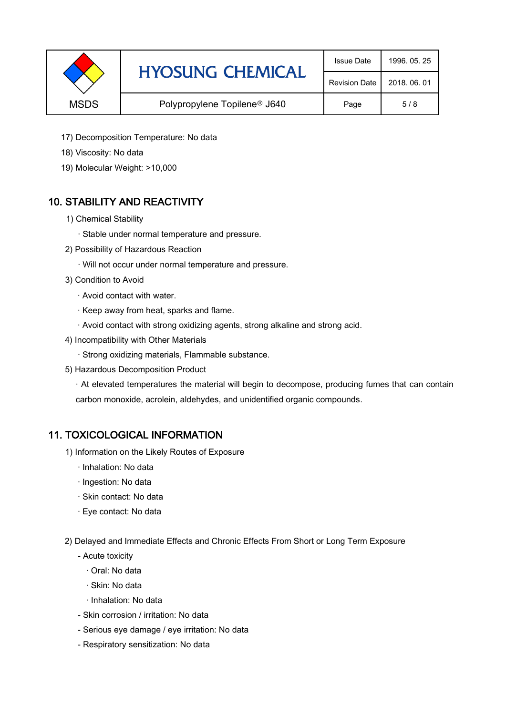|             | <b>HYOSUNG CHEMICAL</b>                  | <b>Issue Date</b>    | 1996, 05, 25 |
|-------------|------------------------------------------|----------------------|--------------|
|             |                                          | <b>Revision Date</b> | 2018, 06, 01 |
| <b>MSDS</b> | Polypropylene Topilene <sup>®</sup> J640 | Page                 | 5/8          |

- 17) Decomposition Temperature: No data
- 18) Viscosity: No data
- 19) Molecular Weight: >10,000

# 10. STABILITY AND REACTIVITY

- 1) Chemical Stability
	- · Stable under normal temperature and pressure.
- 2) Possibility of Hazardous Reaction
	- · Will not occur under normal temperature and pressure.
- 3) Condition to Avoid
	- · Avoid contact with water.
	- · Keep away from heat, sparks and flame.
	- · Avoid contact with strong oxidizing agents, strong alkaline and strong acid.
- 4) Incompatibility with Other Materials
	- · Strong oxidizing materials, Flammable substance.
- 5) Hazardous Decomposition Product

· At elevated temperatures the material will begin to decompose, producing fumes that can contain carbon monoxide, acrolein, aldehydes, and unidentified organic compounds.

#### 11. TOXICOLOGICAL INFORMATION

- 1) Information on the Likely Routes of Exposure
	- · Inhalation: No data
	- · Ingestion: No data
	- · Skin contact: No data
	- · Eye contact: No data
- 2) Delayed and Immediate Effects and Chronic Effects From Short or Long Term Exposure
	- Acute toxicity
		- · Oral: No data
		- · Skin: No data
		- · Inhalation: No data
	- Skin corrosion / irritation: No data
	- Serious eye damage / eye irritation: No data
	- Respiratory sensitization: No data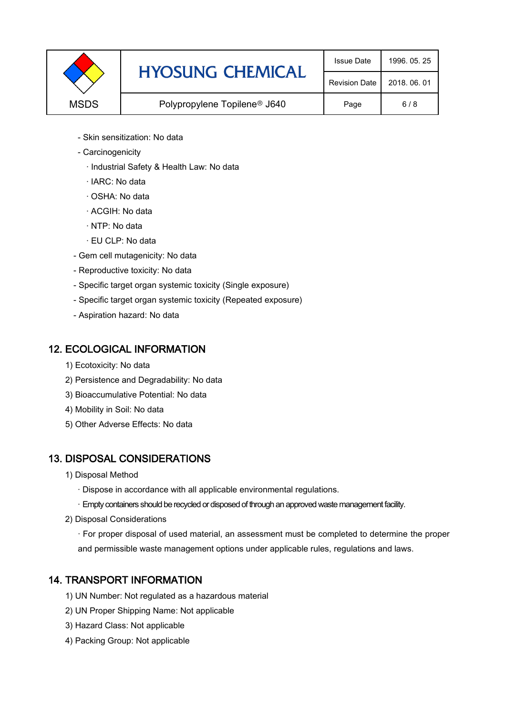|             | <b>HYOSUNG CHEMICAL</b>                  | <b>Issue Date</b>    | 1996, 05, 25 |
|-------------|------------------------------------------|----------------------|--------------|
|             |                                          | <b>Revision Date</b> | 2018, 06, 01 |
| <b>MSDS</b> | Polypropylene Topilene <sup>®</sup> J640 | Page                 | 6/8          |

- Skin sensitization: No data
- Carcinogenicity
	- · Industrial Safety & Health Law: No data
	- · IARC: No data
	- · OSHA: No data
	- · ACGIH: No data
	- · NTP: No data
	- · EU CLP: No data
- Gem cell mutagenicity: No data
- Reproductive toxicity: No data
- Specific target organ systemic toxicity (Single exposure)
- Specific target organ systemic toxicity (Repeated exposure)
- Aspiration hazard: No data

#### 12. ECOLOGICAL INFORMATION

- 1) Ecotoxicity: No data
- 2) Persistence and Degradability: No data
- 3) Bioaccumulative Potential: No data
- 4) Mobility in Soil: No data
- 5) Other Adverse Effects: No data

# 13. DISPOSAL CONSIDERATIONS

- 1) Disposal Method
	- · Dispose in accordance with all applicable environmental regulations.
	- · Empty containers should be recycled or disposed of through an approved waste management facility.
- 2) Disposal Considerations
	- · For proper disposal of used material, an assessment must be completed to determine the proper and permissible waste management options under applicable rules, regulations and laws.

# 14. TRANSPORT INFORMATION

- 1) UN Number: Not regulated as a hazardous material
- 2) UN Proper Shipping Name: Not applicable
- 3) Hazard Class: Not applicable
- 4) Packing Group: Not applicable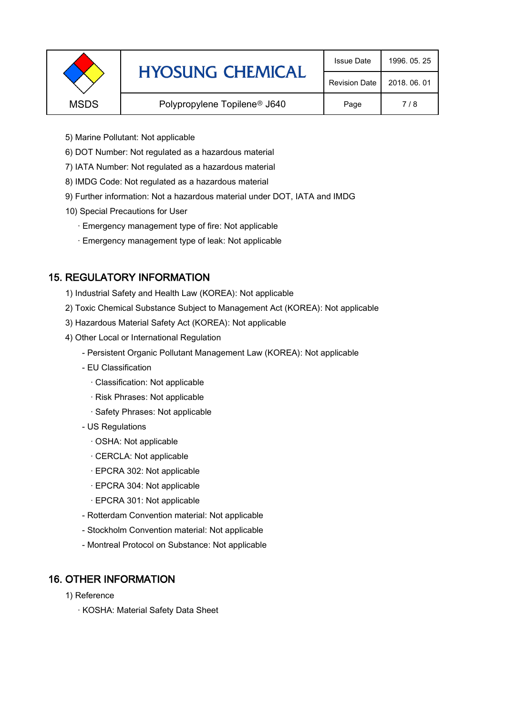|             | <b>HYOSUNG CHEMICAL</b>                  | <b>Issue Date</b>    | 1996, 05, 25 |
|-------------|------------------------------------------|----------------------|--------------|
|             |                                          | <b>Revision Date</b> | 2018, 06, 01 |
| <b>MSDS</b> | Polypropylene Topilene <sup>®</sup> J640 | Page                 | 7/8          |
|             |                                          |                      |              |

- 5) Marine Pollutant: Not applicable
- 6) DOT Number: Not regulated as a hazardous material
- 7) IATA Number: Not regulated as a hazardous material
- 8) IMDG Code: Not regulated as a hazardous material
- 9) Further information: Not a hazardous material under DOT, IATA and IMDG
- 10) Special Precautions for User
	- · Emergency management type of fire: Not applicable
	- · Emergency management type of leak: Not applicable

# 15. REGULATORY INFORMATION

- 1) Industrial Safety and Health Law (KOREA): Not applicable
- 2) Toxic Chemical Substance Subject to Management Act (KOREA): Not applicable
- 3) Hazardous Material Safety Act (KOREA): Not applicable
- 4) Other Local or International Regulation
	- Persistent Organic Pollutant Management Law (KOREA): Not applicable
	- EU Classification
		- · Classification: Not applicable
		- · Risk Phrases: Not applicable
		- · Safety Phrases: Not applicable
	- US Regulations
		- · OSHA: Not applicable
		- · CERCLA: Not applicable
		- · EPCRA 302: Not applicable
		- · EPCRA 304: Not applicable
		- · EPCRA 301: Not applicable
	- Rotterdam Convention material: Not applicable
	- Stockholm Convention material: Not applicable
	- Montreal Protocol on Substance: Not applicable

# 16. OTHER INFORMATION

- 1) Reference
	- · KOSHA: Material Safety Data Sheet